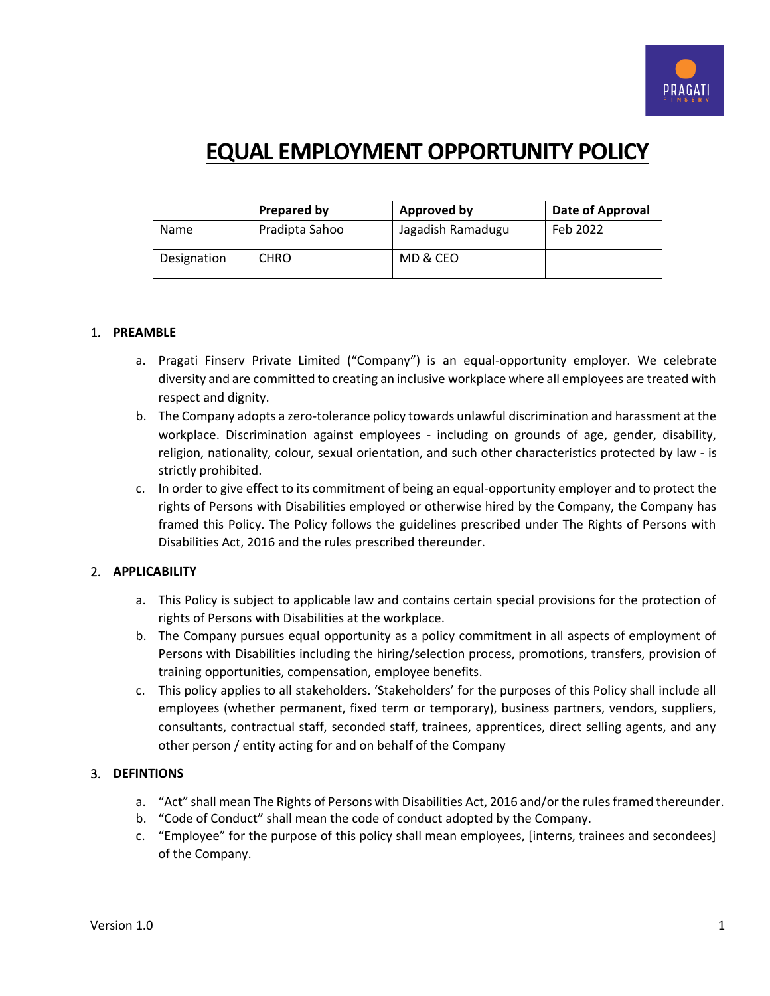

# **EQUAL EMPLOYMENT OPPORTUNITY POLICY**

|             | Prepared by    | Approved by       | Date of Approval |
|-------------|----------------|-------------------|------------------|
| Name        | Pradipta Sahoo | Jagadish Ramadugu | Feb 2022         |
| Designation | <b>CHRO</b>    | MD & CEO          |                  |

## 1. **PREAMBLE**

- a. Pragati Finserv Private Limited ("Company") is an equal-opportunity employer. We celebrate diversity and are committed to creating an inclusive workplace where all employees are treated with respect and dignity.
- b. The Company adopts a zero-tolerance policy towards unlawful discrimination and harassment at the workplace. Discrimination against employees - including on grounds of age, gender, disability, religion, nationality, colour, sexual orientation, and such other characteristics protected by law - is strictly prohibited.
- c. In order to give effect to its commitment of being an equal-opportunity employer and to protect the rights of Persons with Disabilities employed or otherwise hired by the Company, the Company has framed this Policy. The Policy follows the guidelines prescribed under The Rights of Persons with Disabilities Act, 2016 and the rules prescribed thereunder.

## 2. **APPLICABILITY**

- a. This Policy is subject to applicable law and contains certain special provisions for the protection of rights of Persons with Disabilities at the workplace.
- b. The Company pursues equal opportunity as a policy commitment in all aspects of employment of Persons with Disabilities including the hiring/selection process, promotions, transfers, provision of training opportunities, compensation, employee benefits.
- c. This policy applies to all stakeholders. 'Stakeholders' for the purposes of this Policy shall include all employees (whether permanent, fixed term or temporary), business partners, vendors, suppliers, consultants, contractual staff, seconded staff, trainees, apprentices, direct selling agents, and any other person / entity acting for and on behalf of the Company

## 3. **DEFINTIONS**

- a. "Act" shall mean The Rights of Persons with Disabilities Act, 2016 and/or the rules framed thereunder.
- b. "Code of Conduct" shall mean the code of conduct adopted by the Company.
- c. "Employee" for the purpose of this policy shall mean employees, [interns, trainees and secondees] of the Company.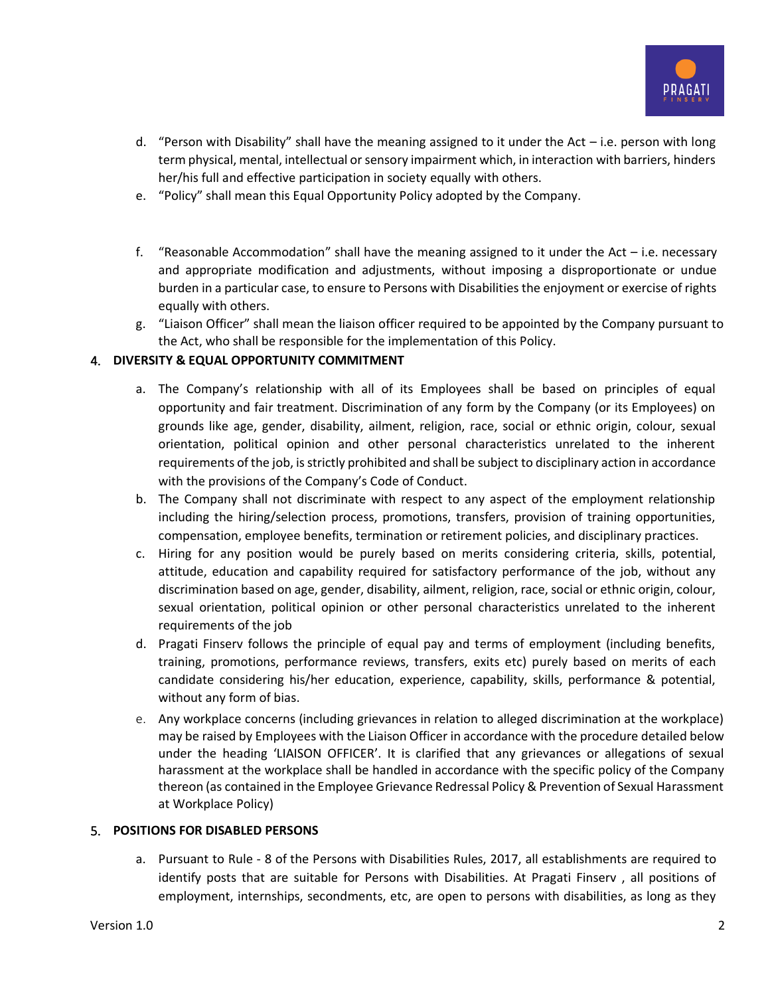

- d. "Person with Disability" shall have the meaning assigned to it under the Act  $-$  i.e. person with long term physical, mental, intellectual or sensory impairment which, in interaction with barriers, hinders her/his full and effective participation in society equally with others.
- e. "Policy" shall mean this Equal Opportunity Policy adopted by the Company.
- f. "Reasonable Accommodation" shall have the meaning assigned to it under the Act  $-$  i.e. necessary and appropriate modification and adjustments, without imposing a disproportionate or undue burden in a particular case, to ensure to Persons with Disabilities the enjoyment or exercise of rights equally with others.
- g. "Liaison Officer" shall mean the liaison officer required to be appointed by the Company pursuant to the Act, who shall be responsible for the implementation of this Policy.

# 4. **DIVERSITY & EQUAL OPPORTUNITY COMMITMENT**

- a. The Company's relationship with all of its Employees shall be based on principles of equal opportunity and fair treatment. Discrimination of any form by the Company (or its Employees) on grounds like age, gender, disability, ailment, religion, race, social or ethnic origin, colour, sexual orientation, political opinion and other personal characteristics unrelated to the inherent requirements of the job, is strictly prohibited and shall be subject to disciplinary action in accordance with the provisions of the Company's Code of Conduct.
- b. The Company shall not discriminate with respect to any aspect of the employment relationship including the hiring/selection process, promotions, transfers, provision of training opportunities, compensation, employee benefits, termination or retirement policies, and disciplinary practices.
- c. Hiring for any position would be purely based on merits considering criteria, skills, potential, attitude, education and capability required for satisfactory performance of the job, without any discrimination based on age, gender, disability, ailment, religion, race, social or ethnic origin, colour, sexual orientation, political opinion or other personal characteristics unrelated to the inherent requirements of the job
- d. Pragati Finserv follows the principle of equal pay and terms of employment (including benefits, training, promotions, performance reviews, transfers, exits etc) purely based on merits of each candidate considering his/her education, experience, capability, skills, performance & potential, without any form of bias.
- e. Any workplace concerns (including grievances in relation to alleged discrimination at the workplace) may be raised by Employees with the Liaison Officer in accordance with the procedure detailed below under the heading 'LIAISON OFFICER'. It is clarified that any grievances or allegations of sexual harassment at the workplace shall be handled in accordance with the specific policy of the Company thereon (as contained in the Employee Grievance Redressal Policy & Prevention of Sexual Harassment at Workplace Policy)

# 5. **POSITIONS FOR DISABLED PERSONS**

a. Pursuant to Rule - 8 of the Persons with Disabilities Rules, 2017, all establishments are required to identify posts that are suitable for Persons with Disabilities. At Pragati Finserv , all positions of employment, internships, secondments, etc, are open to persons with disabilities, as long as they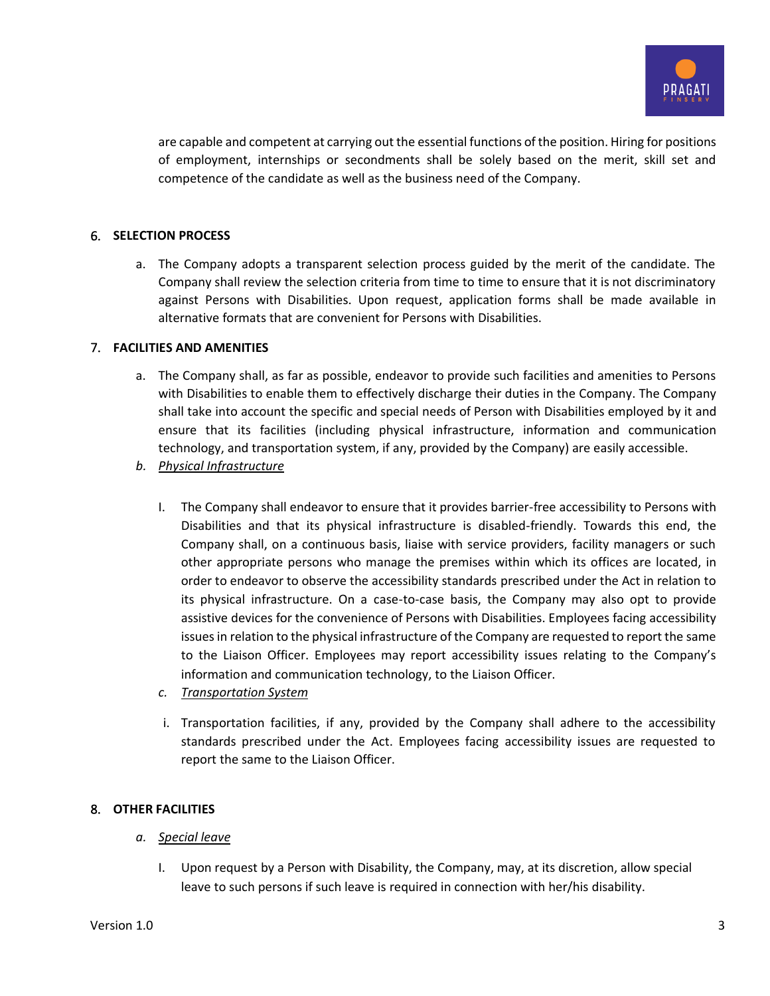

are capable and competent at carrying out the essential functions of the position. Hiring for positions of employment, internships or secondments shall be solely based on the merit, skill set and competence of the candidate as well as the business need of the Company.

# 6. **SELECTION PROCESS**

a. The Company adopts a transparent selection process guided by the merit of the candidate. The Company shall review the selection criteria from time to time to ensure that it is not discriminatory against Persons with Disabilities. Upon request, application forms shall be made available in alternative formats that are convenient for Persons with Disabilities.

#### 7. **FACILITIES AND AMENITIES**

- a. The Company shall, as far as possible, endeavor to provide such facilities and amenities to Persons with Disabilities to enable them to effectively discharge their duties in the Company. The Company shall take into account the specific and special needs of Person with Disabilities employed by it and ensure that its facilities (including physical infrastructure, information and communication technology, and transportation system, if any, provided by the Company) are easily accessible.
- *b. Physical Infrastructure*
	- I. The Company shall endeavor to ensure that it provides barrier-free accessibility to Persons with Disabilities and that its physical infrastructure is disabled-friendly. Towards this end, the Company shall, on a continuous basis, liaise with service providers, facility managers or such other appropriate persons who manage the premises within which its offices are located, in order to endeavor to observe the accessibility standards prescribed under the Act in relation to its physical infrastructure. On a case-to-case basis, the Company may also opt to provide assistive devices for the convenience of Persons with Disabilities. Employees facing accessibility issues in relation to the physical infrastructure of the Company are requested to report the same to the Liaison Officer. Employees may report accessibility issues relating to the Company's information and communication technology, to the Liaison Officer.
	- *c. Transportation System*
	- i. Transportation facilities, if any, provided by the Company shall adhere to the accessibility standards prescribed under the Act. Employees facing accessibility issues are requested to report the same to the Liaison Officer.

## 8. **OTHER FACILITIES**

- *a. Special leave*
	- I. Upon request by a Person with Disability, the Company, may, at its discretion, allow special leave to such persons if such leave is required in connection with her/his disability.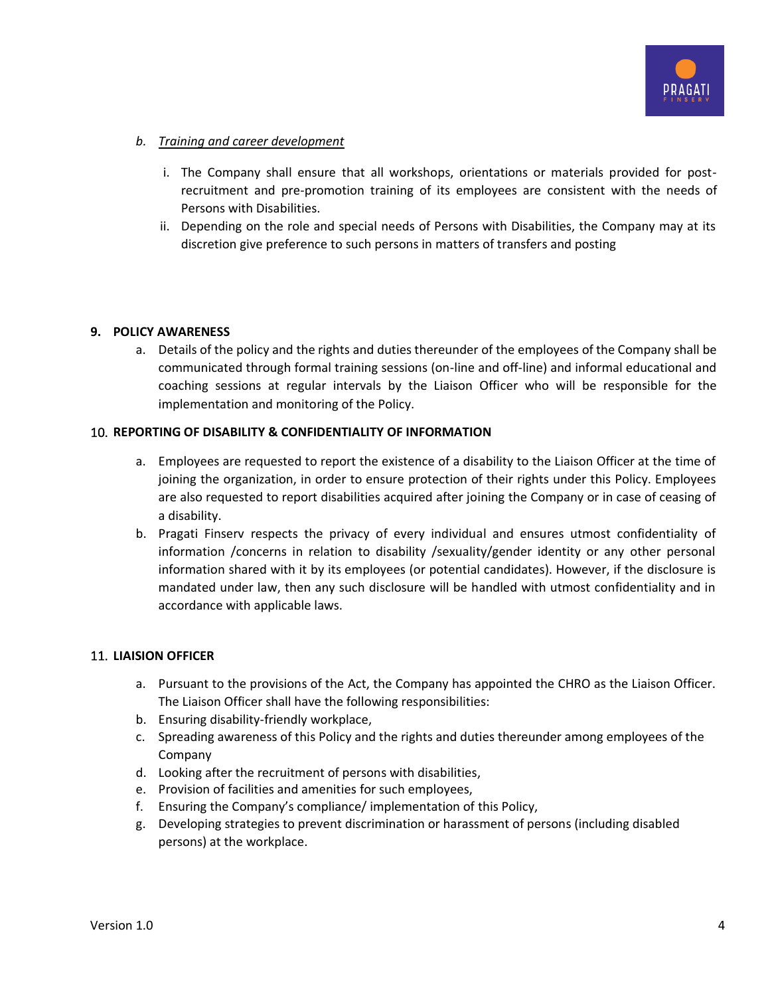

# *b. Training and career development*

- i. The Company shall ensure that all workshops, orientations or materials provided for postrecruitment and pre-promotion training of its employees are consistent with the needs of Persons with Disabilities.
- ii. Depending on the role and special needs of Persons with Disabilities, the Company may at its discretion give preference to such persons in matters of transfers and posting

## **9. POLICY AWARENESS**

a. Details of the policy and the rights and duties thereunder of the employees of the Company shall be communicated through formal training sessions (on-line and off-line) and informal educational and coaching sessions at regular intervals by the Liaison Officer who will be responsible for the implementation and monitoring of the Policy.

# 10. **REPORTING OF DISABILITY & CONFIDENTIALITY OF INFORMATION**

- a. Employees are requested to report the existence of a disability to the Liaison Officer at the time of joining the organization, in order to ensure protection of their rights under this Policy. Employees are also requested to report disabilities acquired after joining the Company or in case of ceasing of a disability.
- b. Pragati Finserv respects the privacy of every individual and ensures utmost confidentiality of information /concerns in relation to disability /sexuality/gender identity or any other personal information shared with it by its employees (or potential candidates). However, if the disclosure is mandated under law, then any such disclosure will be handled with utmost confidentiality and in accordance with applicable laws.

## 11. **LIAISION OFFICER**

- a. Pursuant to the provisions of the Act, the Company has appointed the CHRO as the Liaison Officer. The Liaison Officer shall have the following responsibilities:
- b. Ensuring disability-friendly workplace,
- c. Spreading awareness of this Policy and the rights and duties thereunder among employees of the Company
- d. Looking after the recruitment of persons with disabilities,
- e. Provision of facilities and amenities for such employees,
- f. Ensuring the Company's compliance/ implementation of this Policy,
- g. Developing strategies to prevent discrimination or harassment of persons (including disabled persons) at the workplace.